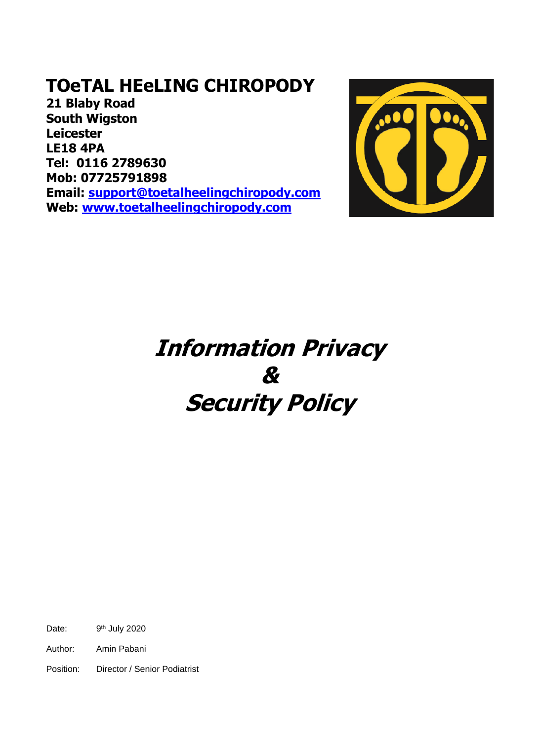**21 Blaby Road South Wigston Leicester LE18 4PA Tel: 0116 2789630 Mob: 07725791898 Email: [support@toetalheelingchiropody.com](mailto:support@toetalheelingchiropody.com) Web: [www.toetalheelingchiropody.com](http://www.toetalheelingchiropody.com/)**



# **Information Privacy & Security Policy**

Date: 9<sup>th</sup> July 2020

Author: Amin Pabani

Position: Director / Senior Podiatrist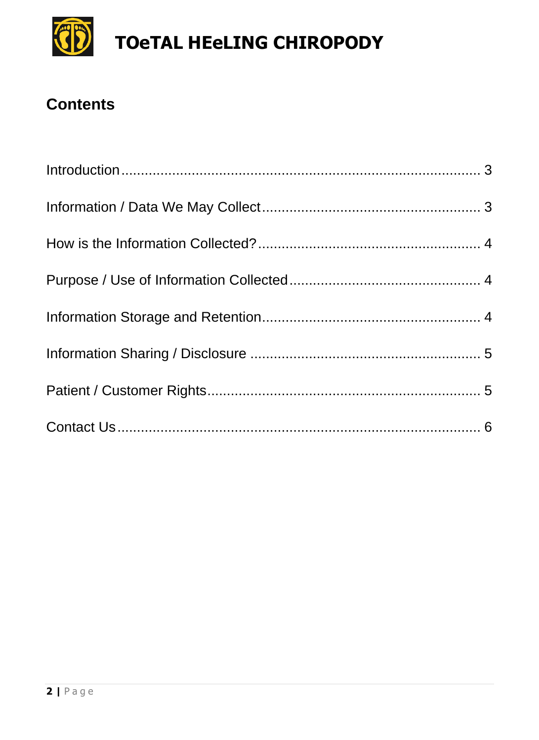

### **Contents**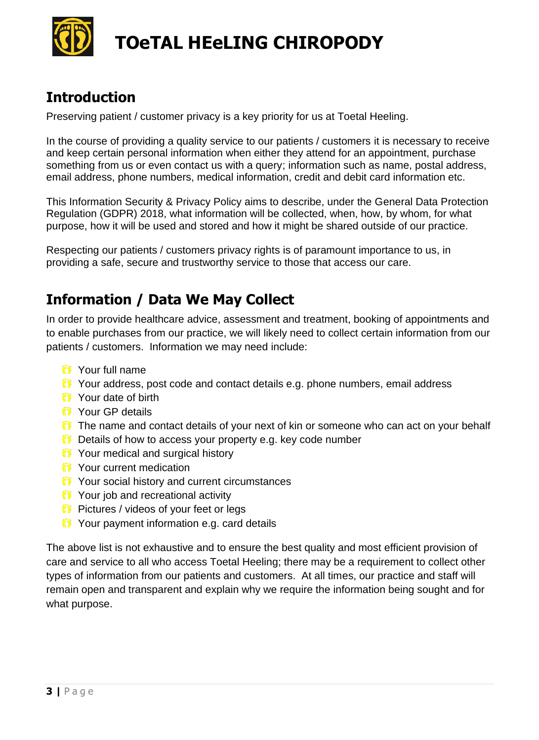

#### <span id="page-2-0"></span>**Introduction**

Preserving patient / customer privacy is a key priority for us at Toetal Heeling.

In the course of providing a quality service to our patients / customers it is necessary to receive and keep certain personal information when either they attend for an appointment, purchase something from us or even contact us with a query; information such as name, postal address, email address, phone numbers, medical information, credit and debit card information etc.

This Information Security & Privacy Policy aims to describe, under the General Data Protection Regulation (GDPR) 2018, what information will be collected, when, how, by whom, for what purpose, how it will be used and stored and how it might be shared outside of our practice.

Respecting our patients / customers privacy rights is of paramount importance to us, in providing a safe, secure and trustworthy service to those that access our care.

#### <span id="page-2-1"></span>**Information / Data We May Collect**

In order to provide healthcare advice, assessment and treatment, booking of appointments and to enable purchases from our practice, we will likely need to collect certain information from our patients / customers. Information we may need include:

- Your full name
- Your address, post code and contact details e.g. phone numbers, email address
- **O** Your date of birth
- **O** Your GP details
- **The name and contact details of your next of kin or someone who can act on your behalf**
- **Details of how to access your property e.g. key code number**
- **T** Your medical and surgical history
- $\bullet$  Your current medication
- **T** Your social history and current circumstances
- **1** Your job and recreational activity
- $\bullet$  Pictures / videos of your feet or legs
- **1** Your payment information e.g. card details

The above list is not exhaustive and to ensure the best quality and most efficient provision of care and service to all who access Toetal Heeling; there may be a requirement to collect other types of information from our patients and customers. At all times, our practice and staff will remain open and transparent and explain why we require the information being sought and for what purpose.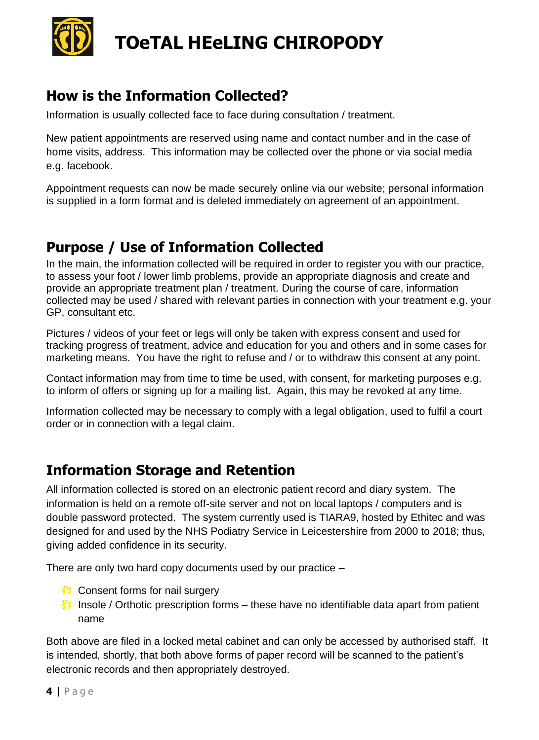

#### <span id="page-3-0"></span>**How is the Information Collected?**

Information is usually collected face to face during consultation / treatment.

New patient appointments are reserved using name and contact number and in the case of home visits, address. This information may be collected over the phone or via social media e.g. facebook.

Appointment requests can now be made securely online via our website; personal information is supplied in a form format and is deleted immediately on agreement of an appointment.

#### <span id="page-3-1"></span>**Purpose / Use of Information Collected**

In the main, the information collected will be required in order to register you with our practice, to assess your foot / lower limb problems, provide an appropriate diagnosis and create and provide an appropriate treatment plan / treatment. During the course of care, information collected may be used / shared with relevant parties in connection with your treatment e.g. your GP, consultant etc.

Pictures / videos of your feet or legs will only be taken with express consent and used for tracking progress of treatment, advice and education for you and others and in some cases for marketing means. You have the right to refuse and / or to withdraw this consent at any point.

Contact information may from time to time be used, with consent, for marketing purposes e.g. to inform of offers or signing up for a mailing list. Again, this may be revoked at any time.

Information collected may be necessary to comply with a legal obligation, used to fulfil a court order or in connection with a legal claim.

#### <span id="page-3-2"></span>**Information Storage and Retention**

All information collected is stored on an electronic patient record and diary system. The information is held on a remote off-site server and not on local laptops / computers and is double password protected. The system currently used is TIARA9, hosted by Ethitec and was designed for and used by the NHS Podiatry Service in Leicestershire from 2000 to 2018; thus, giving added confidence in its security.

There are only two hard copy documents used by our practice –

- **Consent forms for nail surgery**
- $\bullet$  Insole / Orthotic prescription forms these have no identifiable data apart from patient name

Both above are filed in a locked metal cabinet and can only be accessed by authorised staff. It is intended, shortly, that both above forms of paper record will be scanned to the patient's electronic records and then appropriately destroyed.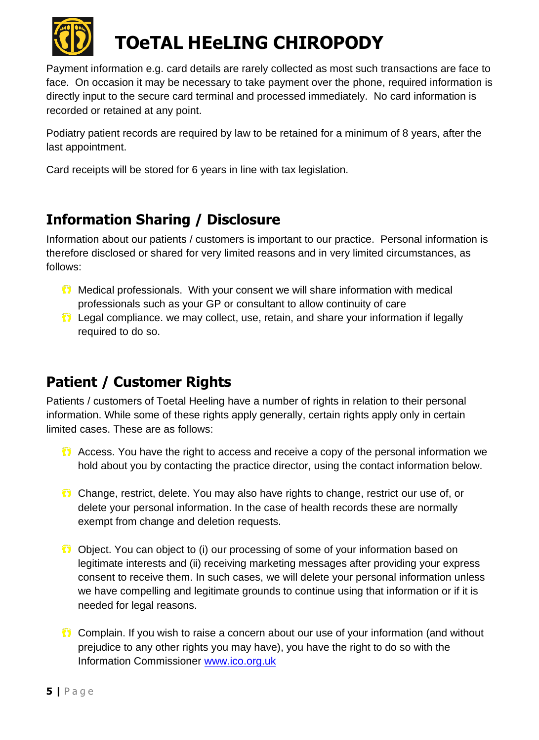

Payment information e.g. card details are rarely collected as most such transactions are face to face. On occasion it may be necessary to take payment over the phone, required information is directly input to the secure card terminal and processed immediately. No card information is recorded or retained at any point.

Podiatry patient records are required by law to be retained for a minimum of 8 years, after the last appointment.

Card receipts will be stored for 6 years in line with tax legislation.

#### <span id="page-4-0"></span>**Information Sharing / Disclosure**

Information about our patients / customers is important to our practice. Personal information is therefore disclosed or shared for very limited reasons and in very limited circumstances, as follows:

- Medical professionals. With your consent we will share information with medical professionals such as your GP or consultant to allow continuity of care
- Legal compliance. we may collect, use, retain, and share your information if legally required to do so.

### <span id="page-4-1"></span>**Patient / Customer Rights**

Patients / customers of Toetal Heeling have a number of rights in relation to their personal information. While some of these rights apply generally, certain rights apply only in certain limited cases. These are as follows:

- **C** Access. You have the right to access and receive a copy of the personal information we hold about you by contacting the practice director, using the contact information below.
- Change, restrict, delete. You may also have rights to change, restrict our use of, or delete your personal information. In the case of health records these are normally exempt from change and deletion requests.
- Object. You can object to (i) our processing of some of your information based on legitimate interests and (ii) receiving marketing messages after providing your express consent to receive them. In such cases, we will delete your personal information unless we have compelling and legitimate grounds to continue using that information or if it is needed for legal reasons.
- Complain. If you wish to raise a concern about our use of your information (and without prejudice to any other rights you may have), you have the right to do so with the Information Commissioner [www.ico.org.uk](http://www.ico.org.uk/)